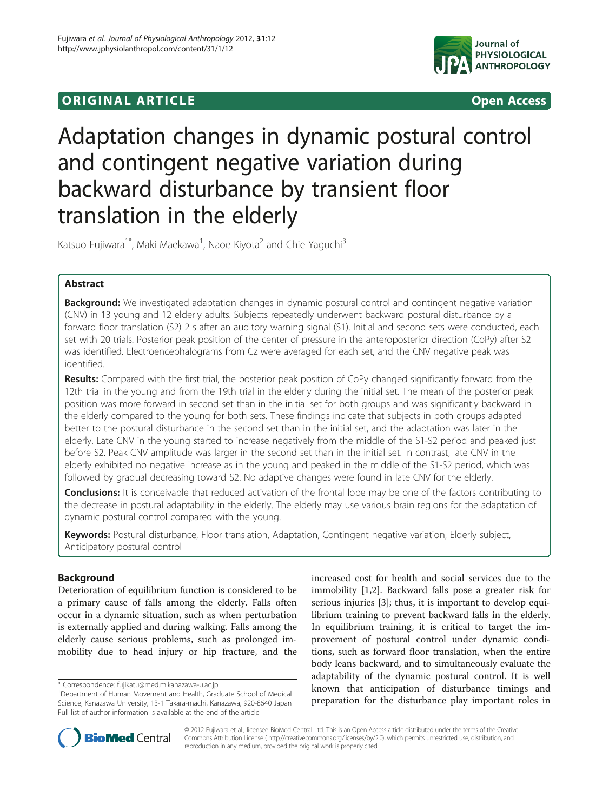# **ORIGINAL ARTICLE CONSUMING A LIGACION** CONSUMING A LIGACION CONSUMING A LIGACION CONSUMING A LIGACION CONSUMING A LIGACION CONSUMING A LIGACION CONSUMING A LIGACION CONSUMING A LIGACION CONSUMING A LIGACION CONSUMING A



# Adaptation changes in dynamic postural control and contingent negative variation during backward disturbance by transient floor translation in the elderly

Katsuo Fujiwara<sup>1\*</sup>, Maki Maekawa<sup>1</sup>, Naoe Kiyota<sup>2</sup> and Chie Yaguchi<sup>3</sup>

# Abstract

Background: We investigated adaptation changes in dynamic postural control and contingent negative variation (CNV) in 13 young and 12 elderly adults. Subjects repeatedly underwent backward postural disturbance by a forward floor translation (S2) 2 s after an auditory warning signal (S1). Initial and second sets were conducted, each set with 20 trials. Posterior peak position of the center of pressure in the anteroposterior direction (CoPy) after S2 was identified. Electroencephalograms from Cz were averaged for each set, and the CNV negative peak was identified.

Results: Compared with the first trial, the posterior peak position of CoPy changed significantly forward from the 12th trial in the young and from the 19th trial in the elderly during the initial set. The mean of the posterior peak position was more forward in second set than in the initial set for both groups and was significantly backward in the elderly compared to the young for both sets. These findings indicate that subjects in both groups adapted better to the postural disturbance in the second set than in the initial set, and the adaptation was later in the elderly. Late CNV in the young started to increase negatively from the middle of the S1-S2 period and peaked just before S2. Peak CNV amplitude was larger in the second set than in the initial set. In contrast, late CNV in the elderly exhibited no negative increase as in the young and peaked in the middle of the S1-S2 period, which was followed by gradual decreasing toward S2. No adaptive changes were found in late CNV for the elderly.

**Conclusions:** It is conceivable that reduced activation of the frontal lobe may be one of the factors contributing to the decrease in postural adaptability in the elderly. The elderly may use various brain regions for the adaptation of dynamic postural control compared with the young.

Keywords: Postural disturbance, Floor translation, Adaptation, Contingent negative variation, Elderly subject, Anticipatory postural control

# Background

Deterioration of equilibrium function is considered to be a primary cause of falls among the elderly. Falls often occur in a dynamic situation, such as when perturbation is externally applied and during walking. Falls among the elderly cause serious problems, such as prolonged immobility due to head injury or hip fracture, and the

increased cost for health and social services due to the immobility [[1,2\]](#page-9-0). Backward falls pose a greater risk for serious injuries [[3\]](#page-9-0); thus, it is important to develop equilibrium training to prevent backward falls in the elderly. In equilibrium training, it is critical to target the improvement of postural control under dynamic conditions, such as forward floor translation, when the entire body leans backward, and to simultaneously evaluate the adaptability of the dynamic postural control. It is well known that anticipation of disturbance timings and preparation for the disturbance play important roles in



© 2012 Fujiwara et al.; licensee BioMed Central Ltd. This is an Open Access article distributed under the terms of the Creative Commons Attribution License ( http://creativecommons.org/licenses/by/2.0), which permits unrestricted use, distribution, and reproduction in any medium, provided the original work is properly cited.

<sup>\*</sup> Correspondence: [fujikatu@med.m.kanazawa-u.ac.jp](mailto:fujikatu@med.m.kanazawa-u.ac.jp) <sup>1</sup>

<sup>&</sup>lt;sup>1</sup>Department of Human Movement and Health, Graduate School of Medical Science, Kanazawa University, 13-1 Takara-machi, Kanazawa, 920-8640 Japan Full list of author information is available at the end of the article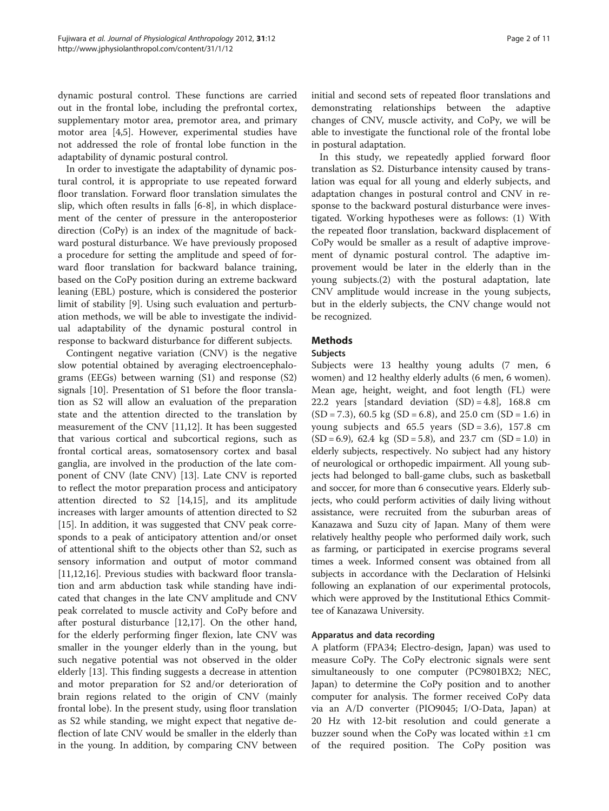dynamic postural control. These functions are carried out in the frontal lobe, including the prefrontal cortex, supplementary motor area, premotor area, and primary motor area [\[4,5](#page-9-0)]. However, experimental studies have not addressed the role of frontal lobe function in the adaptability of dynamic postural control.

In order to investigate the adaptability of dynamic postural control, it is appropriate to use repeated forward floor translation. Forward floor translation simulates the slip, which often results in falls [\[6-8](#page-9-0)], in which displacement of the center of pressure in the anteroposterior direction (CoPy) is an index of the magnitude of backward postural disturbance. We have previously proposed a procedure for setting the amplitude and speed of forward floor translation for backward balance training, based on the CoPy position during an extreme backward leaning (EBL) posture, which is considered the posterior limit of stability [\[9](#page-9-0)]. Using such evaluation and perturbation methods, we will be able to investigate the individual adaptability of the dynamic postural control in response to backward disturbance for different subjects.

Contingent negative variation (CNV) is the negative slow potential obtained by averaging electroencephalograms (EEGs) between warning (S1) and response (S2) signals [[10\]](#page-9-0). Presentation of S1 before the floor translation as S2 will allow an evaluation of the preparation state and the attention directed to the translation by measurement of the CNV [[11,12\]](#page-9-0). It has been suggested that various cortical and subcortical regions, such as frontal cortical areas, somatosensory cortex and basal ganglia, are involved in the production of the late component of CNV (late CNV) [[13](#page-9-0)]. Late CNV is reported to reflect the motor preparation process and anticipatory attention directed to S2 [\[14,15](#page-9-0)], and its amplitude increases with larger amounts of attention directed to S2 [[15\]](#page-9-0). In addition, it was suggested that CNV peak corresponds to a peak of anticipatory attention and/or onset of attentional shift to the objects other than S2, such as sensory information and output of motor command [[11,12,16\]](#page-9-0). Previous studies with backward floor translation and arm abduction task while standing have indicated that changes in the late CNV amplitude and CNV peak correlated to muscle activity and CoPy before and after postural disturbance [[12,17\]](#page-9-0). On the other hand, for the elderly performing finger flexion, late CNV was smaller in the younger elderly than in the young, but such negative potential was not observed in the older elderly [\[13\]](#page-9-0). This finding suggests a decrease in attention and motor preparation for S2 and/or deterioration of brain regions related to the origin of CNV (mainly frontal lobe). In the present study, using floor translation as S2 while standing, we might expect that negative deflection of late CNV would be smaller in the elderly than in the young. In addition, by comparing CNV between initial and second sets of repeated floor translations and demonstrating relationships between the adaptive changes of CNV, muscle activity, and CoPy, we will be able to investigate the functional role of the frontal lobe in postural adaptation.

In this study, we repeatedly applied forward floor translation as S2. Disturbance intensity caused by translation was equal for all young and elderly subjects, and adaptation changes in postural control and CNV in response to the backward postural disturbance were investigated. Working hypotheses were as follows: (1) With the repeated floor translation, backward displacement of CoPy would be smaller as a result of adaptive improvement of dynamic postural control. The adaptive improvement would be later in the elderly than in the young subjects.(2) with the postural adaptation, late CNV amplitude would increase in the young subjects, but in the elderly subjects, the CNV change would not be recognized.

#### Methods

#### Subjects

Subjects were 13 healthy young adults (7 men, 6 women) and 12 healthy elderly adults (6 men, 6 women). Mean age, height, weight, and foot length (FL) were 22.2 years [standard deviation  $(SD) = 4.8$ ], 168.8 cm  $(SD = 7.3)$ , 60.5 kg  $(SD = 6.8)$ , and 25.0 cm  $(SD = 1.6)$  in young subjects and  $65.5$  years  $(SD = 3.6)$ , 157.8 cm  $(SD = 6.9)$ , 62.4 kg  $(SD = 5.8)$ , and 23.7 cm  $(SD = 1.0)$  in elderly subjects, respectively. No subject had any history of neurological or orthopedic impairment. All young subjects had belonged to ball-game clubs, such as basketball and soccer, for more than 6 consecutive years. Elderly subjects, who could perform activities of daily living without assistance, were recruited from the suburban areas of Kanazawa and Suzu city of Japan. Many of them were relatively healthy people who performed daily work, such as farming, or participated in exercise programs several times a week. Informed consent was obtained from all subjects in accordance with the Declaration of Helsinki following an explanation of our experimental protocols, which were approved by the Institutional Ethics Committee of Kanazawa University.

#### Apparatus and data recording

A platform (FPA34; Electro-design, Japan) was used to measure CoPy. The CoPy electronic signals were sent simultaneously to one computer (PC9801BX2; NEC, Japan) to determine the CoPy position and to another computer for analysis. The former received CoPy data via an A/D converter (PIO9045; I/O-Data, Japan) at 20 Hz with 12-bit resolution and could generate a buzzer sound when the CoPy was located within  $\pm 1$  cm of the required position. The CoPy position was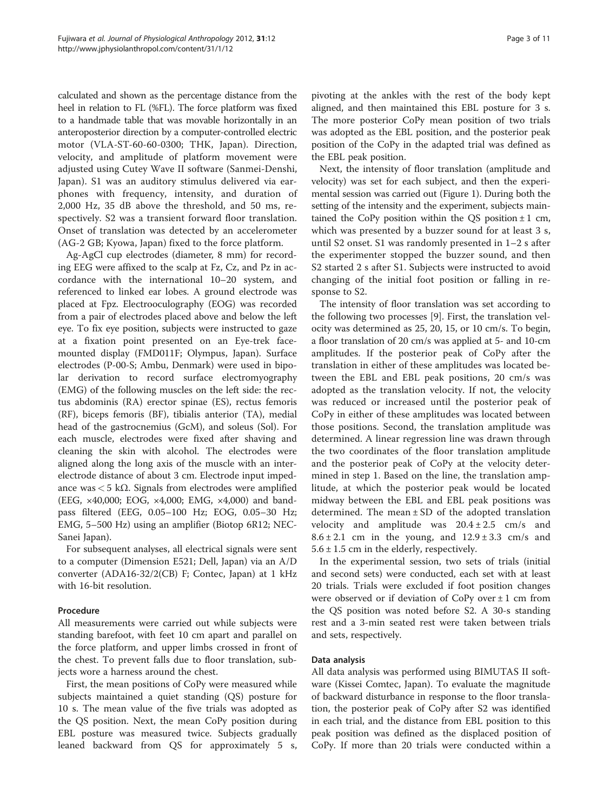calculated and shown as the percentage distance from the heel in relation to FL (%FL). The force platform was fixed to a handmade table that was movable horizontally in an anteroposterior direction by a computer-controlled electric motor (VLA-ST-60-60-0300; THK, Japan). Direction, velocity, and amplitude of platform movement were adjusted using Cutey Wave II software (Sanmei-Denshi, Japan). S1 was an auditory stimulus delivered via earphones with frequency, intensity, and duration of 2,000 Hz, 35 dB above the threshold, and 50 ms, respectively. S2 was a transient forward floor translation. Onset of translation was detected by an accelerometer (AG-2 GB; Kyowa, Japan) fixed to the force platform.

Ag-AgCl cup electrodes (diameter, 8 mm) for recording EEG were affixed to the scalp at Fz, Cz, and Pz in accordance with the international 10–20 system, and referenced to linked ear lobes. A ground electrode was placed at Fpz. Electrooculography (EOG) was recorded from a pair of electrodes placed above and below the left eye. To fix eye position, subjects were instructed to gaze at a fixation point presented on an Eye-trek facemounted display (FMD011F; Olympus, Japan). Surface electrodes (P-00-S; Ambu, Denmark) were used in bipolar derivation to record surface electromyography (EMG) of the following muscles on the left side: the rectus abdominis (RA) erector spinae (ES), rectus femoris (RF), biceps femoris (BF), tibialis anterior (TA), medial head of the gastrocnemius (GcM), and soleus (Sol). For each muscle, electrodes were fixed after shaving and cleaning the skin with alcohol. The electrodes were aligned along the long axis of the muscle with an interelectrode distance of about 3 cm. Electrode input impedance was  $<$  5 k $\Omega$ . Signals from electrodes were amplified (EEG, ×40,000; EOG, ×4,000; EMG, ×4,000) and bandpass filtered (EEG, 0.05–100 Hz; EOG, 0.05–30 Hz; EMG, 5–500 Hz) using an amplifier (Biotop 6R12; NEC-Sanei Japan).

For subsequent analyses, all electrical signals were sent to a computer (Dimension E521; Dell, Japan) via an A/D converter (ADA16-32/2(CB) F; Contec, Japan) at 1 kHz with 16-bit resolution.

# Procedure

All measurements were carried out while subjects were standing barefoot, with feet 10 cm apart and parallel on the force platform, and upper limbs crossed in front of the chest. To prevent falls due to floor translation, subjects wore a harness around the chest.

First, the mean positions of CoPy were measured while subjects maintained a quiet standing (QS) posture for 10 s. The mean value of the five trials was adopted as the QS position. Next, the mean CoPy position during EBL posture was measured twice. Subjects gradually leaned backward from QS for approximately 5 s, pivoting at the ankles with the rest of the body kept aligned, and then maintained this EBL posture for 3 s. The more posterior CoPy mean position of two trials was adopted as the EBL position, and the posterior peak position of the CoPy in the adapted trial was defined as the EBL peak position.

Next, the intensity of floor translation (amplitude and velocity) was set for each subject, and then the experimental session was carried out (Figure [1\)](#page-3-0). During both the setting of the intensity and the experiment, subjects maintained the CoPy position within the QS position  $\pm 1$  cm, which was presented by a buzzer sound for at least 3 s, until S2 onset. S1 was randomly presented in 1–2 s after the experimenter stopped the buzzer sound, and then S2 started 2 s after S1. Subjects were instructed to avoid changing of the initial foot position or falling in response to S2.

The intensity of floor translation was set according to the following two processes [\[9](#page-9-0)]. First, the translation velocity was determined as 25, 20, 15, or 10 cm/s. To begin, a floor translation of 20 cm/s was applied at 5- and 10-cm amplitudes. If the posterior peak of CoPy after the translation in either of these amplitudes was located between the EBL and EBL peak positions, 20 cm/s was adopted as the translation velocity. If not, the velocity was reduced or increased until the posterior peak of CoPy in either of these amplitudes was located between those positions. Second, the translation amplitude was determined. A linear regression line was drawn through the two coordinates of the floor translation amplitude and the posterior peak of CoPy at the velocity determined in step 1. Based on the line, the translation amplitude, at which the posterior peak would be located midway between the EBL and EBL peak positions was determined. The mean  $\pm$  SD of the adopted translation velocity and amplitude was  $20.4 \pm 2.5$  cm/s and  $8.6 \pm 2.1$  cm in the young, and  $12.9 \pm 3.3$  cm/s and  $5.6 \pm 1.5$  cm in the elderly, respectively.

In the experimental session, two sets of trials (initial and second sets) were conducted, each set with at least 20 trials. Trials were excluded if foot position changes were observed or if deviation of  $CoPy$  over  $\pm 1$  cm from the QS position was noted before S2. A 30-s standing rest and a 3-min seated rest were taken between trials and sets, respectively.

# Data analysis

All data analysis was performed using BIMUTAS II software (Kissei Comtec, Japan). To evaluate the magnitude of backward disturbance in response to the floor translation, the posterior peak of CoPy after S2 was identified in each trial, and the distance from EBL position to this peak position was defined as the displaced position of CoPy. If more than 20 trials were conducted within a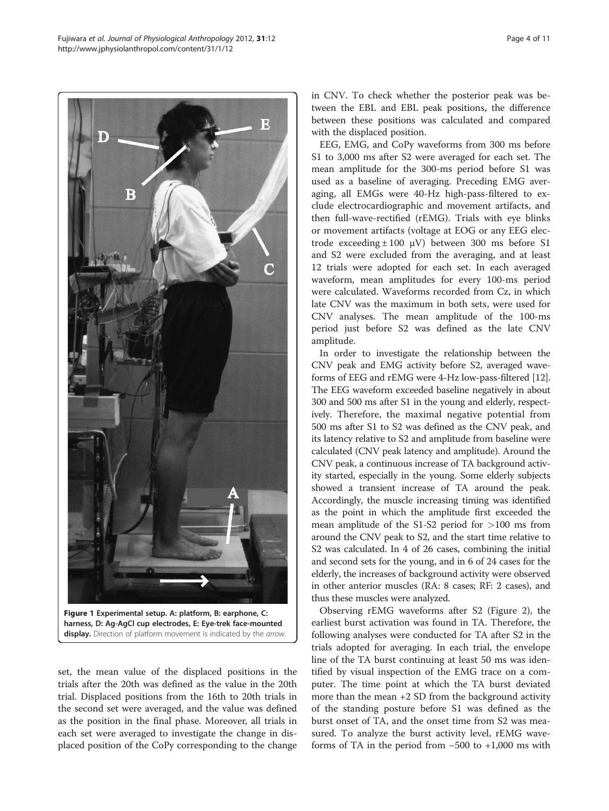<span id="page-3-0"></span>

harness, D: Ag-AgCl cup electrodes, E: Eye-trek face-mounted display. Direction of platform movement is indicated by the arrow

set, the mean value of the displaced positions in the trials after the 20th was defined as the value in the 20th trial. Displaced positions from the 16th to 20th trials in the second set were averaged, and the value was defined as the position in the final phase. Moreover, all trials in each set were averaged to investigate the change in displaced position of the CoPy corresponding to the change in CNV. To check whether the posterior peak was between the EBL and EBL peak positions, the difference between these positions was calculated and compared with the displaced position.

EEG, EMG, and CoPy waveforms from 300 ms before S1 to 3,000 ms after S2 were averaged for each set. The mean amplitude for the 300-ms period before S1 was used as a baseline of averaging. Preceding EMG averaging, all EMGs were 40-Hz high-pass-filtered to exclude electrocardiographic and movement artifacts, and then full-wave-rectified (rEMG). Trials with eye blinks or movement artifacts (voltage at EOG or any EEG electrode exceeding  $\pm 100 \mu V$ ) between 300 ms before S1 and S2 were excluded from the averaging, and at least 12 trials were adopted for each set. In each averaged waveform, mean amplitudes for every 100-ms period were calculated. Waveforms recorded from Cz, in which late CNV was the maximum in both sets, were used for CNV analyses. The mean amplitude of the 100-ms period just before S2 was defined as the late CNV amplitude.

In order to investigate the relationship between the CNV peak and EMG activity before S2, averaged waveforms of EEG and rEMG were 4-Hz low-pass-filtered [[12](#page-9-0)]. The EEG waveform exceeded baseline negatively in about 300 and 500 ms after S1 in the young and elderly, respectively. Therefore, the maximal negative potential from 500 ms after S1 to S2 was defined as the CNV peak, and its latency relative to S2 and amplitude from baseline were calculated (CNV peak latency and amplitude). Around the CNV peak, a continuous increase of TA background activity started, especially in the young. Some elderly subjects showed a transient increase of TA around the peak. Accordingly, the muscle increasing timing was identified as the point in which the amplitude first exceeded the mean amplitude of the S1-S2 period for >100 ms from around the CNV peak to S2, and the start time relative to S2 was calculated. In 4 of 26 cases, combining the initial and second sets for the young, and in 6 of 24 cases for the elderly, the increases of background activity were observed in other anterior muscles (RA: 8 cases; RF: 2 cases), and thus these muscles were analyzed.

Observing rEMG waveforms after S2 (Figure [2\)](#page-4-0), the earliest burst activation was found in TA. Therefore, the following analyses were conducted for TA after S2 in the trials adopted for averaging. In each trial, the envelope line of the TA burst continuing at least 50 ms was identified by visual inspection of the EMG trace on a computer. The time point at which the TA burst deviated more than the mean +2 SD from the background activity of the standing posture before S1 was defined as the burst onset of TA, and the onset time from S2 was measured. To analyze the burst activity level, rEMG waveforms of TA in the period from −500 to +1,000 ms with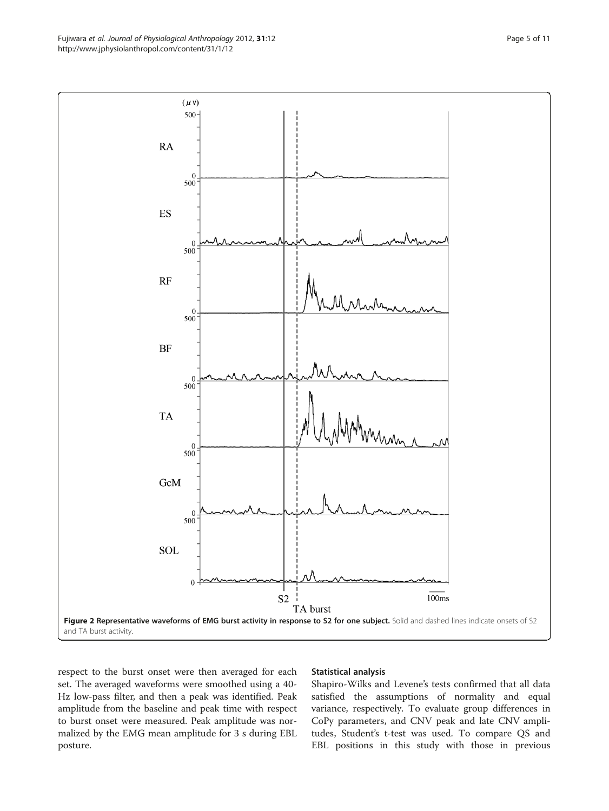<span id="page-4-0"></span>Fujiwara et al. Journal of Physiological Anthropology 2012, 31:12 Page 5 of 11 http://www.jphysiolanthropol.com/content/31/1/12



respect to the burst onset were then averaged for each set. The averaged waveforms were smoothed using a 40- Hz low-pass filter, and then a peak was identified. Peak amplitude from the baseline and peak time with respect to burst onset were measured. Peak amplitude was normalized by the EMG mean amplitude for 3 s during EBL posture.

# Statistical analysis

Shapiro-Wilks and Levene's tests confirmed that all data satisfied the assumptions of normality and equal variance, respectively. To evaluate group differences in CoPy parameters, and CNV peak and late CNV amplitudes, Student's t-test was used. To compare QS and EBL positions in this study with those in previous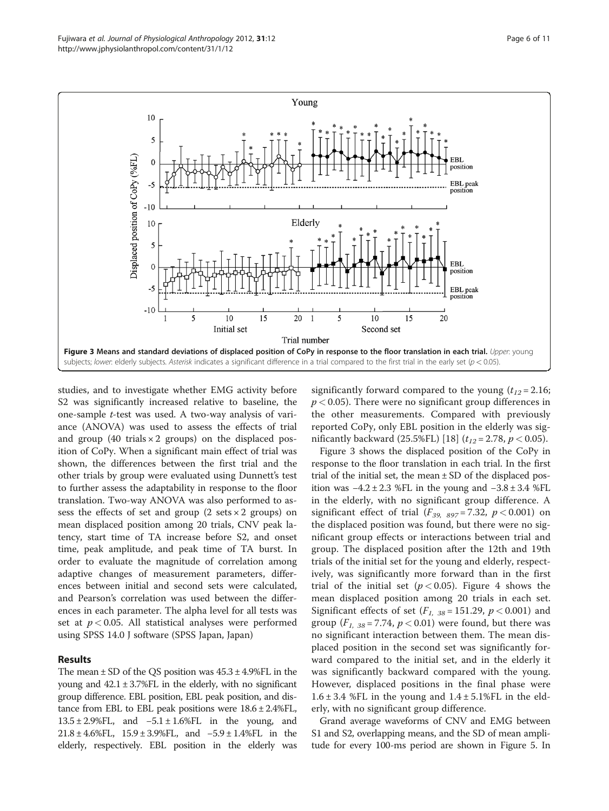

studies, and to investigate whether EMG activity before S2 was significantly increased relative to baseline, the one-sample t-test was used. A two-way analysis of variance (ANOVA) was used to assess the effects of trial and group (40 trials  $\times$  2 groups) on the displaced position of CoPy. When a significant main effect of trial was shown, the differences between the first trial and the other trials by group were evaluated using Dunnett's test to further assess the adaptability in response to the floor translation. Two-way ANOVA was also performed to assess the effects of set and group  $(2 \text{ sets} \times 2 \text{ groups})$  on mean displaced position among 20 trials, CNV peak latency, start time of TA increase before S2, and onset time, peak amplitude, and peak time of TA burst. In order to evaluate the magnitude of correlation among adaptive changes of measurement parameters, differences between initial and second sets were calculated, and Pearson's correlation was used between the differences in each parameter. The alpha level for all tests was set at  $p < 0.05$ . All statistical analyses were performed using SPSS 14.0 J software (SPSS Japan, Japan)

# Results

The mean  $\pm$  SD of the QS position was  $45.3 \pm 4.9\%$ FL in the young and  $42.1 \pm 3.7\%$  FL in the elderly, with no significant group difference. EBL position, EBL peak position, and distance from EBL to EBL peak positions were  $18.6 \pm 2.4\%$ FL,  $13.5 \pm 2.9\%$  FL, and  $-5.1 \pm 1.6\%$  FL in the young, and 21.8 ± 4.6%FL, 15.9 ± 3.9%FL, and −5.9 ± 1.4%FL in the elderly, respectively. EBL position in the elderly was

significantly forward compared to the young  $(t_{12} = 2.16;$  $p < 0.05$ ). There were no significant group differences in the other measurements. Compared with previously reported CoPy, only EBL position in the elderly was sig-nificantly backward (25.5%FL) [[18](#page-9-0)]  $(t_{12} = 2.78, p < 0.05)$ .

Figure 3 shows the displaced position of the CoPy in response to the floor translation in each trial. In the first trial of the initial set, the mean  $\pm$  SD of the displaced position was  $-4.2 \pm 2.3$  %FL in the young and  $-3.8 \pm 3.4$  %FL in the elderly, with no significant group difference. A significant effect of trial  $(F_{39, 897} = 7.32, p < 0.001)$  on the displaced position was found, but there were no significant group effects or interactions between trial and group. The displaced position after the 12th and 19th trials of the initial set for the young and elderly, respectively, was significantly more forward than in the first trial of the initial set ( $p < 0.05$ ). Figure [4](#page-6-0) shows the mean displaced position among 20 trials in each set. Significant effects of set  $(F<sub>1, 38</sub> = 151.29, p < 0.001)$  and group ( $F_{1, 38}$  = 7.74,  $p$  < 0.01) were found, but there was no significant interaction between them. The mean displaced position in the second set was significantly forward compared to the initial set, and in the elderly it was significantly backward compared with the young. However, displaced positions in the final phase were  $1.6 \pm 3.4$  %FL in the young and  $1.4 \pm 5.1$ %FL in the elderly, with no significant group difference.

Grand average waveforms of CNV and EMG between S1 and S2, overlapping means, and the SD of mean amplitude for every 100-ms period are shown in Figure [5.](#page-7-0) In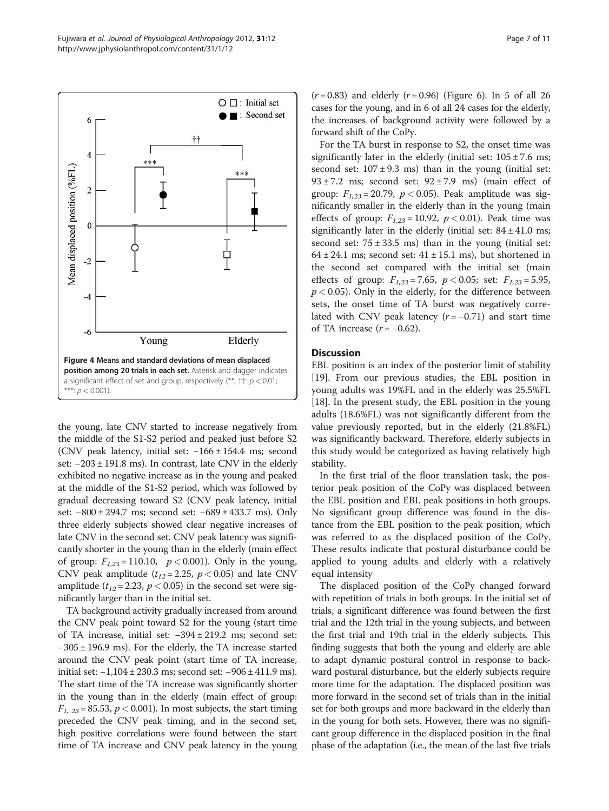<span id="page-6-0"></span>

the young, late CNV started to increase negatively from the middle of the S1-S2 period and peaked just before S2 (CNV peak latency, initial set: −166 ± 154.4 ms; second set: −203 ± 191.8 ms). In contrast, late CNV in the elderly exhibited no negative increase as in the young and peaked at the middle of the S1-S2 period, which was followed by gradual decreasing toward S2 (CNV peak latency, initial set: −800 ± 294.7 ms; second set: −689 ± 433.7 ms). Only three elderly subjects showed clear negative increases of late CNV in the second set. CNV peak latency was significantly shorter in the young than in the elderly (main effect of group:  $F_{1,23} = 110.10$ ,  $p < 0.001$ ). Only in the young, CNV peak amplitude ( $t_{12}$  = 2.25,  $p < 0.05$ ) and late CNV amplitude ( $t_{12}$  = 2.23,  $p$  < 0.05) in the second set were significantly larger than in the initial set.

TA background activity gradually increased from around the CNV peak point toward S2 for the young (start time of TA increase, initial set: −394 ± 219.2 ms; second set: −305 ± 196.9 ms). For the elderly, the TA increase started around the CNV peak point (start time of TA increase, initial set: −1,104 ± 230.3 ms; second set: −906 ± 411.9 ms). The start time of the TA increase was significantly shorter in the young than in the elderly (main effect of group:  $F_{1, 23}$  = 85.53,  $p$  < 0.001). In most subjects, the start timing preceded the CNV peak timing, and in the second set, high positive correlations were found between the start time of TA increase and CNV peak latency in the young

 $(r = 0.83)$  and elderly  $(r = 0.96)$  (Figure [6](#page-8-0)). In 5 of all 26 cases for the young, and in 6 of all 24 cases for the elderly, the increases of background activity were followed by a forward shift of the CoPy.

For the TA burst in response to S2, the onset time was significantly later in the elderly (initial set:  $105 \pm 7.6$  ms; second set:  $107 \pm 9.3$  ms) than in the young (initial set:  $93 \pm 7.2$  ms; second set:  $92 \pm 7.9$  ms) (main effect of group:  $F_{1,23} = 20.79$ ,  $p < 0.05$ ). Peak amplitude was significantly smaller in the elderly than in the young (main effects of group:  $F_{1,23} = 10.92$ ,  $p < 0.01$ ). Peak time was significantly later in the elderly (initial set:  $84 \pm 41.0$  ms; second set:  $75 \pm 33.5$  ms) than in the young (initial set:  $64 \pm 24.1$  ms; second set:  $41 \pm 15.1$  ms), but shortened in the second set compared with the initial set (main effects of group:  $F_{1,23} = 7.65$ ,  $p < 0.05$ ; set:  $F_{1,23} = 5.95$ ,  $p < 0.05$ ). Only in the elderly, for the difference between sets, the onset time of TA burst was negatively correlated with CNV peak latency  $(r = -0.71)$  and start time of TA increase  $(r = -0.62)$ .

#### **Discussion**

EBL position is an index of the posterior limit of stability [[19\]](#page-9-0). From our previous studies, the EBL position in young adults was 19%FL and in the elderly was 25.5%FL [[18\]](#page-9-0). In the present study, the EBL position in the young adults (18.6%FL) was not significantly different from the value previously reported, but in the elderly (21.8%FL) was significantly backward. Therefore, elderly subjects in this study would be categorized as having relatively high stability.

In the first trial of the floor translation task, the posterior peak position of the CoPy was displaced between the EBL position and EBL peak positions in both groups. No significant group difference was found in the distance from the EBL position to the peak position, which was referred to as the displaced position of the CoPy. These results indicate that postural disturbance could be applied to young adults and elderly with a relatively equal intensity

The displaced position of the CoPy changed forward with repetition of trials in both groups. In the initial set of trials, a significant difference was found between the first trial and the 12th trial in the young subjects, and between the first trial and 19th trial in the elderly subjects. This finding suggests that both the young and elderly are able to adapt dynamic postural control in response to backward postural disturbance, but the elderly subjects require more time for the adaptation. The displaced position was more forward in the second set of trials than in the initial set for both groups and more backward in the elderly than in the young for both sets. However, there was no significant group difference in the displaced position in the final phase of the adaptation (i.e., the mean of the last five trials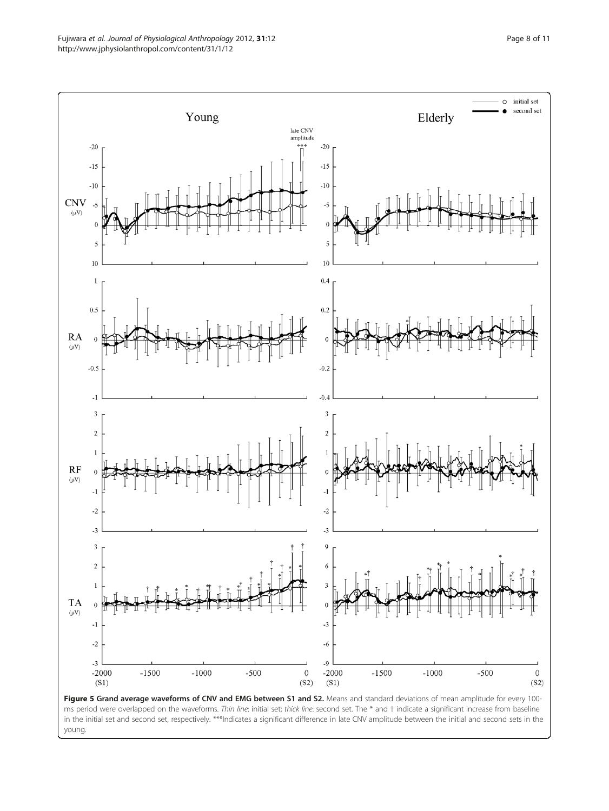<span id="page-7-0"></span>

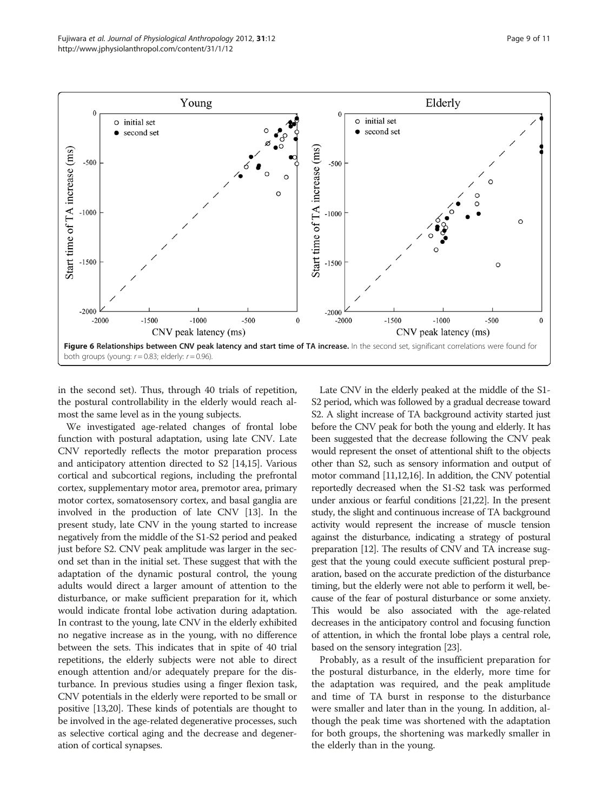<span id="page-8-0"></span>

in the second set). Thus, through 40 trials of repetition, the postural controllability in the elderly would reach almost the same level as in the young subjects.

We investigated age-related changes of frontal lobe function with postural adaptation, using late CNV. Late CNV reportedly reflects the motor preparation process and anticipatory attention directed to S2 [\[14,15](#page-9-0)]. Various cortical and subcortical regions, including the prefrontal cortex, supplementary motor area, premotor area, primary motor cortex, somatosensory cortex, and basal ganglia are involved in the production of late CNV [[13](#page-9-0)]. In the present study, late CNV in the young started to increase negatively from the middle of the S1-S2 period and peaked just before S2. CNV peak amplitude was larger in the second set than in the initial set. These suggest that with the adaptation of the dynamic postural control, the young adults would direct a larger amount of attention to the disturbance, or make sufficient preparation for it, which would indicate frontal lobe activation during adaptation. In contrast to the young, late CNV in the elderly exhibited no negative increase as in the young, with no difference between the sets. This indicates that in spite of 40 trial repetitions, the elderly subjects were not able to direct enough attention and/or adequately prepare for the disturbance. In previous studies using a finger flexion task, CNV potentials in the elderly were reported to be small or positive [\[13,20](#page-9-0)]. These kinds of potentials are thought to be involved in the age-related degenerative processes, such as selective cortical aging and the decrease and degeneration of cortical synapses.

Late CNV in the elderly peaked at the middle of the S1- S2 period, which was followed by a gradual decrease toward S2. A slight increase of TA background activity started just before the CNV peak for both the young and elderly. It has been suggested that the decrease following the CNV peak would represent the onset of attentional shift to the objects other than S2, such as sensory information and output of motor command [\[11,12,16\]](#page-9-0). In addition, the CNV potential reportedly decreased when the S1-S2 task was performed under anxious or fearful conditions [[21,22](#page-9-0)]. In the present study, the slight and continuous increase of TA background activity would represent the increase of muscle tension against the disturbance, indicating a strategy of postural preparation [\[12](#page-9-0)]. The results of CNV and TA increase suggest that the young could execute sufficient postural preparation, based on the accurate prediction of the disturbance timing, but the elderly were not able to perform it well, because of the fear of postural disturbance or some anxiety. This would be also associated with the age-related decreases in the anticipatory control and focusing function of attention, in which the frontal lobe plays a central role, based on the sensory integration [\[23\]](#page-9-0).

Probably, as a result of the insufficient preparation for the postural disturbance, in the elderly, more time for the adaptation was required, and the peak amplitude and time of TA burst in response to the disturbance were smaller and later than in the young. In addition, although the peak time was shortened with the adaptation for both groups, the shortening was markedly smaller in the elderly than in the young.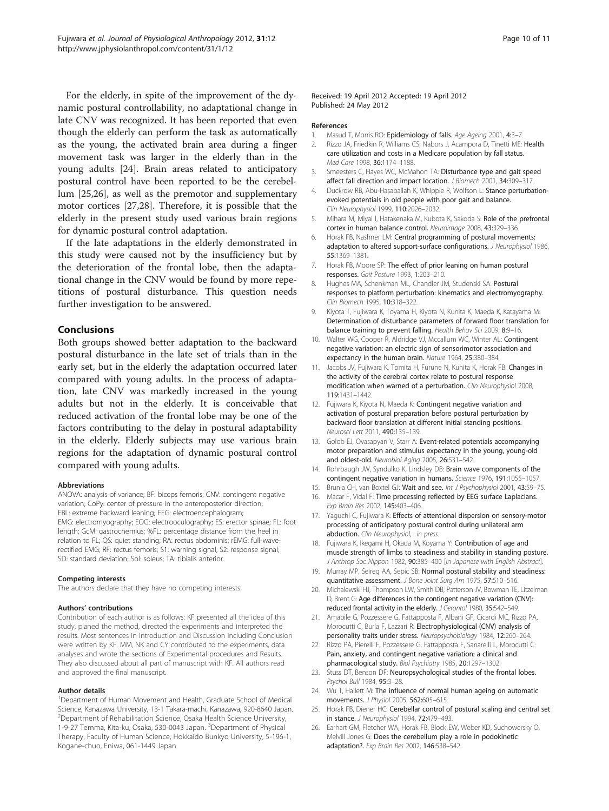<span id="page-9-0"></span>For the elderly, in spite of the improvement of the dynamic postural controllability, no adaptational change in late CNV was recognized. It has been reported that even though the elderly can perform the task as automatically as the young, the activated brain area during a finger movement task was larger in the elderly than in the young adults [24]. Brain areas related to anticipatory postural control have been reported to be the cerebellum [25,26], as well as the premotor and supplementary motor cortices [\[27,28](#page-10-0)]. Therefore, it is possible that the elderly in the present study used various brain regions for dynamic postural control adaptation.

If the late adaptations in the elderly demonstrated in this study were caused not by the insufficiency but by the deterioration of the frontal lobe, then the adaptational change in the CNV would be found by more repetitions of postural disturbance. This question needs further investigation to be answered.

#### Conclusions

Both groups showed better adaptation to the backward postural disturbance in the late set of trials than in the early set, but in the elderly the adaptation occurred later compared with young adults. In the process of adaptation, late CNV was markedly increased in the young adults but not in the elderly. It is conceivable that reduced activation of the frontal lobe may be one of the factors contributing to the delay in postural adaptability in the elderly. Elderly subjects may use various brain regions for the adaptation of dynamic postural control compared with young adults.

#### Abbreviations

ANOVA: analysis of variance; BF: biceps femoris; CNV: contingent negative variation; CoPy: center of pressure in the anteroposterior direction; EBL: extreme backward leaning; EEG: electroencephalogram; EMG: electromyography; EOG: electrooculography; ES: erector spinae; FL: foot length; GcM: gastrocnemius; %FL: percentage distance from the heel in relation to FL; QS: quiet standing; RA: rectus abdominis; rEMG: full-waverectified EMG; RF: rectus femoris; S1: warning signal; S2: response signal; SD: standard deviation; Sol: soleus; TA: tibialis anterior.

#### Competing interests

The authors declare that they have no competing interests.

#### Authors' contributions

Contribution of each author is as follows: KF presented all the idea of this study, planed the method, directed the experiments and interpreted the results. Most sentences in Introduction and Discussion including Conclusion were written by KF. MM, NK and CY contributed to the experiments, data analyses and wrote the sections of Experimental procedures and Results. They also discussed about all part of manuscript with KF. All authors read and approved the final manuscript.

#### Author details

<sup>1</sup>Department of Human Movement and Health, Graduate School of Medical Science, Kanazawa University, 13-1 Takara-machi, Kanazawa, 920-8640 Japan. <sup>2</sup>Department of Rehabilitation Science, Osaka Health Science University, 1-9-27 Temma, Kita-ku, Osaka, 530-0043 Japan. <sup>3</sup>Department of Physical Therapy, Faculty of Human Science, Hokkaido Bunkyo University, 5-196-1, Kogane-chuo, Eniwa, 061-1449 Japan.

#### Received: 19 April 2012 Accepted: 19 April 2012 Published: 24 May 2012

#### **References**

- Masud T, Morris RO: Epidemiology of falls. Age Ageing 2001, 4:3-7.
- 2. Rizzo JA, Friedkin R, Williams CS, Nabors J, Acampora D, Tinetti ME: Health care utilization and costs in a Medicare population by fall status. Med Care 1998, 36:1174–1188.
- 3. Smeesters C, Hayes WC, McMahon TA: Disturbance type and gait speed affect fall direction and impact location. J Biomech 2001, 34:309-317.
- 4. Duckrow RB, Abu-Hasaballah K, Whipple R, Wolfson L: Stance perturbationevoked potentials in old people with poor gait and balance. Clin Neurophysiol 1999, 110:2026–2032.
- 5. Mihara M, Miyai I, Hatakenaka M, Kubota K, Sakoda S: Role of the prefrontal cortex in human balance control. Neuroimage 2008, 43:329–336.
- 6. Horak FB, Nashner LM: Central programming of postural movements: adaptation to altered support-surface configurations. J Neurophysiol 1986, 55:1369–1381.
- 7. Horak FB, Moore SP: The effect of prior leaning on human postural responses. Gait Posture 1993, 1:203–210.
- 8. Hughes MA, Schenkman ML, Chandler JM, Studenski SA: Postural responses to platform perturbation: kinematics and electromyography. Clin Biomech 1995, 10:318–322.
- 9. Kiyota T, Fujiwara K, Toyama H, Kiyota N, Kunita K, Maeda K, Katayama M: Determination of disturbance parameters of forward floor translation for balance training to prevent falling. Health Behav Sci 2009, 8:9-16.
- 10. Walter WG, Cooper R, Aldridge VJ, Mccallum WC, Winter AL: Contingent negative variation: an electric sign of sensorimotor association and expectancy in the human brain. Nature 1964, 25:380–384.
- 11. Jacobs JV, Fujiwara K, Tomita H, Furune N, Kunita K, Horak FB: Changes in the activity of the cerebral cortex relate to postural response modification when warned of a perturbation. Clin Neurophysiol 2008, 119:1431–1442.
- 12. Fujiwara K, Kiyota N, Maeda K: Contingent negative variation and activation of postural preparation before postural perturbation by backward floor translation at different initial standing positions. Neurosci Lett 2011, 490:135–139.
- 13. Golob EJ, Ovasapyan V, Starr A: Event-related potentials accompanying motor preparation and stimulus expectancy in the young, young-old and oldest-old. Neurobiol Aging 2005, 26:531–542.
- 14. Rohrbaugh JW, Syndulko K, Lindsley DB: Brain wave components of the contingent negative variation in humans. Science 1976, 191:1055–1057.
- 15. Brunia CH, van Boxtel GJ: Wait and see. Int J Psychophysiol 2001, 43:59-75.
- 16. Macar F, Vidal F: Time processing reflected by EEG surface Laplacians. Exp Brain Res 2002, 145:403–406.
- 17. Yaguchi C, Fujiwara K: Effects of attentional dispersion on sensory-motor processing of anticipatory postural control during unilateral arm abduction. Clin Neurophysiol, . in press.
- 18. Fujiwara K, Ikegami H, Okada M, Koyama Y: Contribution of age and muscle strength of limbs to steadiness and stability in standing posture. J Anthrop Soc Nippon 1982, 90:385-400 [In Japanese with English Abstract].
- 19. Murray MP, Seireg AA, Sepic SB: Normal postural stability and steadiness: quantitative assessment. J Bone Joint Surg Am 1975, 57:510–516.
- 20. Michalewski HJ, Thompson LW, Smith DB, Patterson JV, Bowman TE, Litzelman D, Brent G: Age differences in the contingent negative variation (CNV): reduced frontal activity in the elderly. J Gerontol 1980, 35:542-549.
- 21. Amabile G, Pozzessere G, Fattapposta F, Albani GF, Cicardi MC, Rizzo PA, Morocutti C, Burla F, Lazzari R: Electrophysiological (CNV) analysis of personality traits under stress. Neuropsychobiology 1984, 12:260-264.
- 22. Rizzo PA, Pierelli F, Pozzessere G, Fattapposta F, Sanarelli L, Morocutti C: Pain, anxiety, and contingent negative variation: a clinical and pharmacological study. Biol Psychiatry 1985, 20:1297–1302.
- 23. Stuss DT, Benson DF: Neuropsychological studies of the frontal lobes. Psychol Bull 1984, 95:3–28.
- 24. Wu T, Hallett M: The influence of normal human ageing on automatic movements. J Physiol 2005, 562:605–615.
- 25. Horak FB, Diener HC: Cerebellar control of postural scaling and central set in stance. J Neurophysiol 1994, 72:479–493.
- 26. Earhart GM, Fletcher WA, Horak FB, Block EW, Weber KD, Suchowersky O, Melvill Jones G: Does the cerebellum play a role in podokinetic adaptation?. Exp Brain Res 2002, 146:538–542.